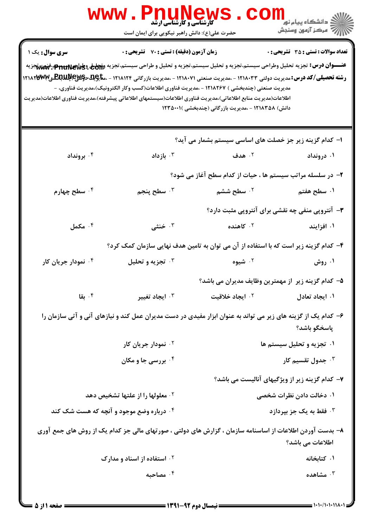|                                          | WWW.PnuNews                                                                                                                                                                                                                                                                                                                                                                                                                                                                                                                                                                        |                                                            | ر دانشڪاه پيام نور <mark>−</mark><br>ا∛ مرکز آزمون وسنڊش |
|------------------------------------------|------------------------------------------------------------------------------------------------------------------------------------------------------------------------------------------------------------------------------------------------------------------------------------------------------------------------------------------------------------------------------------------------------------------------------------------------------------------------------------------------------------------------------------------------------------------------------------|------------------------------------------------------------|----------------------------------------------------------|
|                                          | حضرت علی(ع): دانش راهبر نیکویی برای ایمان است                                                                                                                                                                                                                                                                                                                                                                                                                                                                                                                                      |                                                            | <b>تعداد سوالات : تستی : 35 تشریحی : 0</b>               |
| سری سوال: یک ۱                           | <b>زمان آزمون (دقیقه) : تستی : 70 گشریحی : 0</b><br>عنـــوان درس: تجزيه تحليل وطراحي سيستم،تجزيه و تحليل سيستم،تجزيه و تحليل و طراحي سيستم،تجزيه و <del>Ön</del> i وp <del>ru</del> nter:ڤ <del>نهن،</del> تجزيه<br><b>رشته تحصیلی/کد درس:</b> مدیریت دولتی ۱۲۱۸۰۳۳ - ،مدیریت صنعتی ۱۲۱۸۰۷۱ - ،مدیریت بازرگانی ۱۲۱۸۱۲۴ - ،م <del>تا</del> چِلد دکیکلاچکلللهکلیمها<br>مدیریت صنعتی (چندبخشی ) ۱۲۱۸۲۶۷ - ،مدیریت فناوری اطلاعات(کسب وکار الکترونیک)،مدیریت فناوری، -<br>اطلاعات(مديريت منابع اطلاعاتي)،مديريت فناوري اطلاعات(سيستمهاي اطلاعاتي پيشرفته)،مديريت فناوري اطلاعات(مديريت | دانش) ۱۲۱۸۳۵۸ - ،مدیریت بازرگانی (چندبخشی )۲۳۵۰۰۱          |                                                          |
|                                          |                                                                                                                                                                                                                                                                                                                                                                                                                                                                                                                                                                                    | ا– کدام گزینه زیر جز خصلت های اساسی سیستم بشمار می آید؟    |                                                          |
| ۰۴ برونداد                               | ا بازداد $\cdot$                                                                                                                                                                                                                                                                                                                                                                                                                                                                                                                                                                   | ۰۲ هدف                                                     | ۰۱ درونداد                                               |
|                                          |                                                                                                                                                                                                                                                                                                                                                                                                                                                                                                                                                                                    | ۲- در سلسله مراتب سیستم ها ، حیات از کدام سطح آغاز می شود؟ |                                                          |
| ۰۴ سطح چهارم                             | ۰۳ سطح پنجم                                                                                                                                                                                                                                                                                                                                                                                                                                                                                                                                                                        | ۰ <sup>۲</sup> سطح ششم                                     | ۰۱ سطح هفتم                                              |
|                                          |                                                                                                                                                                                                                                                                                                                                                                                                                                                                                                                                                                                    |                                                            | ۳- آنتروپی منفی چه نقشی برای آنتروپی مثبت دارد؟          |
| کمل $\cdot$ ۴                            | خنثی $\cdot$                                                                                                                                                                                                                                                                                                                                                                                                                                                                                                                                                                       | ۰ <sup>۲</sup> کاهنده                                      | ۰۱ افزایند                                               |
|                                          | ۴- کدام گزینه زیر است که با استفاده از آن می توان به تامین هدف نهایی سازمان کمک کرد؟                                                                                                                                                                                                                                                                                                                                                                                                                                                                                               |                                                            |                                                          |
| ۰ <sup>۴</sup> نمودار جریان کار          | ۰۳ تجزیه و تحلیل                                                                                                                                                                                                                                                                                                                                                                                                                                                                                                                                                                   | ۰ <sup>۲</sup> شیوه                                        | ۰۱ روش                                                   |
|                                          |                                                                                                                                                                                                                                                                                                                                                                                                                                                                                                                                                                                    | ۵– کدام گزینه زیر ًاز مهمترین وظایف مدیران می باشد؟        |                                                          |
| ۰۴ بقا                                   | ۰ <sup>۳</sup> ایجاد تغییر                                                                                                                                                                                                                                                                                                                                                                                                                                                                                                                                                         | ۰ <sup>۲</sup> ایجاد خلاقیت                                | ۰۱ ایجاد تعادل                                           |
|                                          | ۶– کدام یک از گزینه های زیر می تواند به عنوان ابزار مفیدی در دست مدیران عمل کند و نیازهای آنی و آتی سازمان را                                                                                                                                                                                                                                                                                                                                                                                                                                                                      |                                                            | پاسخگو باشد؟                                             |
|                                          | ۰ <sup>۲</sup> نمودار جریان کار                                                                                                                                                                                                                                                                                                                                                                                                                                                                                                                                                    | ۰۱ تجزیه و تحلیل سیستم ها                                  |                                                          |
|                                          | ۰۴ بررسی جا و مکان                                                                                                                                                                                                                                                                                                                                                                                                                                                                                                                                                                 |                                                            | جدول تقسیم کار $\cdot^{\mathtt{w}}$                      |
|                                          |                                                                                                                                                                                                                                                                                                                                                                                                                                                                                                                                                                                    |                                                            | ۷- کدام گزینه زیر از ویژگیهای آنالیست می باشد؟           |
| ۰۲ معلولها را از علتها تشخیص دهد         |                                                                                                                                                                                                                                                                                                                                                                                                                                                                                                                                                                                    | ۰۱ دخالت دادن نظرات شخصی                                   |                                                          |
| ۰۴ درباره وضع موجود و آنچه که هست شک کند |                                                                                                                                                                                                                                                                                                                                                                                                                                                                                                                                                                                    | ۰ <sup>۳</sup> فقط به یک جز بپردازد                        |                                                          |
|                                          | ۸– بدست آوردن اطلاعات از اساسنامه سازمان ، گزارش های دولتی ، صورتهای مالی جز کدام یک از روش های جمع آوری                                                                                                                                                                                                                                                                                                                                                                                                                                                                           |                                                            | اطلاعات می باشد؟                                         |
|                                          | ۰۲ استفاده از اسناد و مدارک                                                                                                                                                                                                                                                                                                                                                                                                                                                                                                                                                        |                                                            | ۰۱ کتابخانه                                              |
|                                          | ۰۴ مصاحبه                                                                                                                                                                                                                                                                                                                                                                                                                                                                                                                                                                          |                                                            | $\cdot$ مشاهده                                           |
|                                          |                                                                                                                                                                                                                                                                                                                                                                                                                                                                                                                                                                                    |                                                            |                                                          |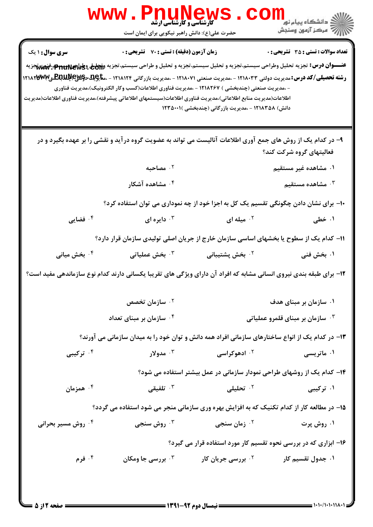|                                                                                                                                                                                                                                                                                                                                                                                                                                                   | Www.PnuNews<br>حضرت علی(ع): دانش راهبر نیکویی برای ایمان است                                                                                      |                                                                         | ر دانشگاه پیام نو <mark>.</mark><br>۱۳۸۸ -<br>۱۳۸۸ - مرکز آزمون وسنجش |
|---------------------------------------------------------------------------------------------------------------------------------------------------------------------------------------------------------------------------------------------------------------------------------------------------------------------------------------------------------------------------------------------------------------------------------------------------|---------------------------------------------------------------------------------------------------------------------------------------------------|-------------------------------------------------------------------------|-----------------------------------------------------------------------|
| <b>سری سوال : ۱ یک</b><br>عنـــوان درس: تجزيه تحليل وطراحي سيستم،تجزيه و تحليل سيستم،تجزيه و تحليل و طراحي سيستم،تجزيه و <del>Zni، وp"nu</del> ne :ڤخمن تجزيه<br><b>رشته تحصیلی/کد درس:</b> مدیریت دولتی ۱۲۱۸۰۳۳ - ،مدیریت صنعتی ۱۲۱۸۰۷۱ - ،مدیریت بازرگانی ۱۲۱۸۱۲۴ - ،م <del>تا</del> چِلقخچلانچاللهالپالیسیالا۱۲۱۸۳۳۷ - ۲۱۸۲۳۳۰<br>اطلاعات(مديريت منابع اطلاعاتي)،مديريت فناوري اطلاعات(سيستمهاي اطلاعاتي پيشرفته)،مديريت فناوري اطلاعات(مديريت | <b>زمان آزمون (دقیقه) : تستی : 70 قشریحی : 0</b><br>- ،مدیریت صنعتی (چندبخشی ) ۱۲۱۸۲۶۷ - ،مدیریت فناوری اطلاعات(کسب وکار الکترونیک)،مدیریت فناوری | دانش) ۱۲۱۸۳۵۸ - ،مدیریت بازرگانی (چندبخشی )۲۳۵۰۰۱                       | <b>تعداد سوالات : تستی : 35 تشریحی : 0</b>                            |
|                                                                                                                                                                                                                                                                                                                                                                                                                                                   | ۹- در کدام یک از روش های جمع آوری اطلاعات آنالیست می تواند به عضویت گروه در آید و نقشی را بر عهده بگیرد و در                                      |                                                                         | فعالیتهای گروه شرکت کند؟                                              |
|                                                                                                                                                                                                                                                                                                                                                                                                                                                   | ۰ <sup>۲</sup> مصاحبه                                                                                                                             |                                                                         | ۰۱ مشاهده غیر مستقیم                                                  |
|                                                                                                                                                                                                                                                                                                                                                                                                                                                   | ۰۴ مشاهده آشکار                                                                                                                                   |                                                                         | شاهده مستقیم $\cdot$ "                                                |
|                                                                                                                                                                                                                                                                                                                                                                                                                                                   | ∙۱− برای نشان دادن چگونگی تقسیم یک کل به اجزا خود از چه نموداری می توان استفاده کرد؟                                                              |                                                                         |                                                                       |
| ۰۴ فضایی                                                                                                                                                                                                                                                                                                                                                                                                                                          | دايره ای $\cdot$                                                                                                                                  | ۰۲ میله ای $\cdot$                                                      | ۰۱ خطی                                                                |
|                                                                                                                                                                                                                                                                                                                                                                                                                                                   | 11– کدام یک از سطوح یا بخشهای اساسی سازمان خارج از جریان اصلی تولیدی سازمان قرار دارد؟                                                            |                                                                         |                                                                       |
| ۰ <sup>۴</sup> بخش میانی                                                                                                                                                                                                                                                                                                                                                                                                                          | ۰ <sup>۳</sup> بخش عملیاتی                                                                                                                        | <sup>۲</sup> ۰ بخش پشتیبانی                                             | ۰۱ بخش فنی                                                            |
| ۱۲- برای طبقه بندی نیروی انسانی مشابه که افراد آن دارای ویژگی های تقریبا یکسانی دارند کدام نوع سازماندهی مفید است؟                                                                                                                                                                                                                                                                                                                                |                                                                                                                                                   |                                                                         |                                                                       |
|                                                                                                                                                                                                                                                                                                                                                                                                                                                   | سازمان تخصص $\cdot$                                                                                                                               |                                                                         | ۰۱ سازمان بر مبنای هدف                                                |
|                                                                                                                                                                                                                                                                                                                                                                                                                                                   | شازمان بر مبنای تعداد $\cdot$ به $\cdot$ $\cdot$                                                                                                  |                                                                         | شازمان بر مبنای قلمرو عملیاتی $\cdot$ ۳                               |
|                                                                                                                                                                                                                                                                                                                                                                                                                                                   | ۱۳– در کدام یک از انواع ساختارهای سازمانی افراد همه دانش و توان خود را به میدان سازمانی می آورند؟                                                 |                                                                         |                                                                       |
| ترکیبی $\cdot$ ۴                                                                                                                                                                                                                                                                                                                                                                                                                                  | ۰۳ مدولار                                                                                                                                         | <sup>۲.</sup> ادهوکراسی                                                 | ۰۱ ماتریسی                                                            |
|                                                                                                                                                                                                                                                                                                                                                                                                                                                   |                                                                                                                                                   | ۱۴– کدام یک از روشهای طراحی نمودار سازمانی در عمل بیشتر استفاده می شود؟ |                                                                       |
| ۰ <sup>۴</sup> همزمان                                                                                                                                                                                                                                                                                                                                                                                                                             | ۰ <sup>۳</sup> تلفیقی                                                                                                                             | ۰ <sup>۲</sup> تحلیلی                                                   | ۰۱ ترکیبی                                                             |
| 1۵- در مطالعه کار از کدام تکنیک که به افزایش بهره وری سازمانی منجر می شود استفاده می گردد؟                                                                                                                                                                                                                                                                                                                                                        |                                                                                                                                                   |                                                                         |                                                                       |
| ۰۴ روش مسیر بحرانی                                                                                                                                                                                                                                                                                                                                                                                                                                | ۰ <sup>۳</sup> روش سنجی                                                                                                                           | ۰ <sup>۲</sup> زمان سنجی                                                | ۰۱ روش پرت                                                            |
|                                                                                                                                                                                                                                                                                                                                                                                                                                                   |                                                                                                                                                   | ۱۶- ابزاری که در بررسی نحوه تقسیم کار مورد استفاده قرار می گیرد؟        |                                                                       |
| ۰۴ فرم                                                                                                                                                                                                                                                                                                                                                                                                                                            | <b>۰۳ بررسی جا ومکان</b>                                                                                                                          | <b>10 بررسی جریان کار</b>                                               | ۰۱ جدول تقسیم کار                                                     |
|                                                                                                                                                                                                                                                                                                                                                                                                                                                   |                                                                                                                                                   |                                                                         |                                                                       |
| = صفحه 2 از 5 <b>=</b>                                                                                                                                                                                                                                                                                                                                                                                                                            |                                                                                                                                                   |                                                                         |                                                                       |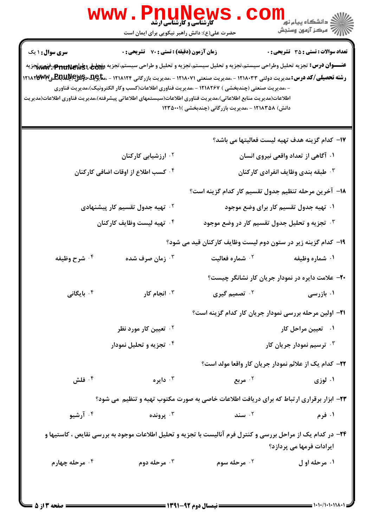|                        | Www.PnuNews                                                                                                                                                                                                                                                                                                                                                                                                     |                                                               |                                                       |  |
|------------------------|-----------------------------------------------------------------------------------------------------------------------------------------------------------------------------------------------------------------------------------------------------------------------------------------------------------------------------------------------------------------------------------------------------------------|---------------------------------------------------------------|-------------------------------------------------------|--|
|                        | حضرت علی(ع): دانش راهبر نیکویی برای ایمان است                                                                                                                                                                                                                                                                                                                                                                   |                                                               |                                                       |  |
| سری سوال : ۱ یک        | <b>زمان آزمون (دقیقه) : تستی : 70 قشریحی : 0</b><br><b>تعداد سوالات : تستي : 35 ٪ تشریحي : 0</b><br>عنـــوان درس: تجزيه تحليل وطراحي سيستم،تجزيه و تحليل سيستم،تجزيه و تحليل و طراحي سيستم،تجزيه و <del>Om</del> واللهج بات بالاست بالاست بالاست بالاست<br><b>رشته تحصیلی/کد درس:</b> مدیریت دولتی ۱۲۱۸۰۳۳ - ،مدیریت صنعتی ۱۲۱۸۰۷۱ - ،مدیریت بازرگانی ۱۲۱۸۱۲۴ - ،م <del>تا</del> چِلقخچلاچچللنجللنجلگترچم۱۲۱۸۳۳ |                                                               |                                                       |  |
|                        | - ،مدیریت صنعتی (چندبخشی ) ۱۲۱۸۲۶۷ - ،مدیریت فناوری اطلاعات(کسب وکار الکترونیک)،مدیریت فناوری<br>اطلاعات(مديريت منابع اطلاعاتي)،مديريت فناوري اطلاعات(سيستمهاي اطلاعاتي پيشرفته)،مديريت فناوري اطلاعات(مديريت                                                                                                                                                                                                   | دانش) ۱۲۱۸۳۵۸ - ،مدیریت بازرگانی (چندبخشی )۲۳۵۰۰۱             |                                                       |  |
|                        |                                                                                                                                                                                                                                                                                                                                                                                                                 |                                                               | IY− كدام گزينه هدف تهيه ليست فعاليتها مي باشد؟        |  |
|                        | ۰۲ ارزشیابی کارکنان                                                                                                                                                                                                                                                                                                                                                                                             | ۰۱ آگاهی از تعداد واقعی نیروی انسان                           |                                                       |  |
|                        | ۰۴ کسب اطلاع از اوقات اضافی کارکنان                                                                                                                                                                                                                                                                                                                                                                             |                                                               | <sup>۳.</sup> طبقه بندی وظایف انفرادی کارکنان         |  |
|                        |                                                                                                                                                                                                                                                                                                                                                                                                                 | ۱۸– آخرین مرحله تنظیم جدول تقسیم کار کدام گزینه است؟          |                                                       |  |
|                        | <sup>۲ .</sup> تهیه جدول تقسیم کار پیشنهادی                                                                                                                                                                                                                                                                                                                                                                     |                                                               | ۰۱ تهیه جدول تقسیم کار برای وضع موجود                 |  |
|                        | ۰۳ تجزیه و تحلیل جدول تقسیم کار در وضع موجود $\cdot$<br>۰۴ تهيه ليست وظايف كاركنان                                                                                                                                                                                                                                                                                                                              |                                                               |                                                       |  |
|                        |                                                                                                                                                                                                                                                                                                                                                                                                                 | ۱۹- کدام گزینه زیر در ستون دوم لیست وظایف کارکنان قید می شود؟ |                                                       |  |
| ۰۴ شرح وظیفه           | ۰ <sup>۳</sup> زمان صرف شده                                                                                                                                                                                                                                                                                                                                                                                     | <b>7 . شماره فعالیت</b>                                       | ۰۱ شماره وظیفه                                        |  |
|                        |                                                                                                                                                                                                                                                                                                                                                                                                                 |                                                               | +۲- علامت دایره در نمودار جریان کار نشانگر چیست؟      |  |
| ۰ <sup>۴</sup> بایگانی | انجام کار $\cdot$ $^{\circ}$                                                                                                                                                                                                                                                                                                                                                                                    | ۰۲ تصمیم گیری                                                 | ۰۱ بازرسی                                             |  |
|                        |                                                                                                                                                                                                                                                                                                                                                                                                                 | ۲۱– اولین مرحله بررسی نمودار جریان کار کدام گزینه است؟        |                                                       |  |
|                        | ۰ <sup>۲</sup> تعیین کار مورد نظر                                                                                                                                                                                                                                                                                                                                                                               | ۰۱ تعیین مراحل کار                                            |                                                       |  |
|                        | ۰۴ تجزیه و تحلیل نمودار                                                                                                                                                                                                                                                                                                                                                                                         | ۰ <sup>۳ ت</sup> رسیم نمودار جریان کار                        |                                                       |  |
|                        |                                                                                                                                                                                                                                                                                                                                                                                                                 |                                                               | ٢٢- كدام يک از علائم نمودار جريان كار واقعا مولد است؟ |  |
| ۰۴ فلش                 | دايره $\cdot$                                                                                                                                                                                                                                                                                                                                                                                                   | ۰۲ مربع                                                       | ۰۱ لوزي                                               |  |
|                        | ۲۳- ابزار برقراری ارتباط که برای دریافت اطلاعات خاصی به صورت مکتوب تهیه و تنظیم ًمی شود؟                                                                                                                                                                                                                                                                                                                        |                                                               |                                                       |  |
| ۰۴ آرشیو               | ۰۳ پرونده                                                                                                                                                                                                                                                                                                                                                                                                       | ۰۲ سند                                                        | ۰۱ فرم                                                |  |
|                        | ۲۴- در کدام یک از مراحل بررسی و کنترل فرم آنالیست با تجزیه و تحلیل اطلاعات موجود به بررسی نقایص ، کاستیها و                                                                                                                                                                                                                                                                                                     |                                                               | ایرادات فرمها می پردازد؟                              |  |
| ۰۴ مرحله چهارم         | ۰۳ مرحله دوم                                                                                                                                                                                                                                                                                                                                                                                                    | ۰ <sup>۲</sup> مرحله سوم                                      | ۰۱ مرحله او ل                                         |  |
|                        |                                                                                                                                                                                                                                                                                                                                                                                                                 |                                                               |                                                       |  |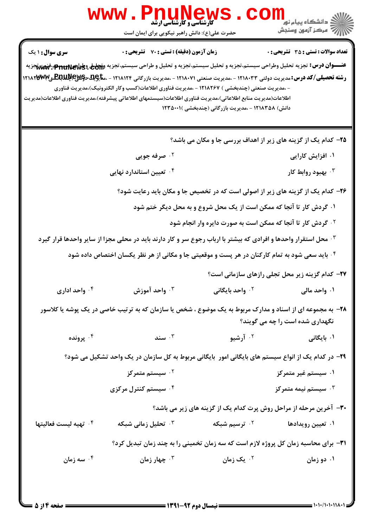|                                           | WWW.PnuNews<br>حضرت علی(ع): دانش راهبر نیکویی برای ایمان است                                                                                                                                                                                                                                                                                                                                                                                                                                                                                                                          |                                                                                                                                                                                                        | ڪ دانشڪاه پيا <sub>م</sub> نور<br><mark>√</mark> مرڪز آزمون وسنڊش                                                |
|-------------------------------------------|---------------------------------------------------------------------------------------------------------------------------------------------------------------------------------------------------------------------------------------------------------------------------------------------------------------------------------------------------------------------------------------------------------------------------------------------------------------------------------------------------------------------------------------------------------------------------------------|--------------------------------------------------------------------------------------------------------------------------------------------------------------------------------------------------------|------------------------------------------------------------------------------------------------------------------|
| <b>سری سوال :</b> ۱ یک                    | <b>زمان آزمون (دقیقه) : تستی : 70 گشریحی : 0</b><br>عنـــوان درس: تجزيه تحليل وطراحي سيستم،تجزيه و تحليل سيستم،تجزيه و تحليل و طراحي سيستم،تجزيه و <del>Zij</del> a وpt <del>u</del> nter:فههم تجزيه<br><b>رشته تحصیلی/کد درس:</b> مدیریت دولتی ۱۲۱۸۰۳۳ - ،مدیریت صنعتی ۱۲۱۸۰۷۱ - ،مدیریت بازرگانی ۱۲۱۸۱۲۴ - ،م <del>تا</del> چِلقخچیلاچکللهلکلهلکلها۱۲۱۸۳۳ - ۱۲۱۸۲۳<br>- ،مدیریت صنعتی (چندبخشی ) ۱۲۱۸۲۶۷ - ،مدیریت فناوری اطلاعات(کسب وکار الکترونیک)،مدیریت فناوری<br>اطلاعات(مديريت منابع اطلاعاتي)،مديريت فناوري اطلاعات(سيستمهاي اطلاعاتي پيشرفته)،مديريت فناوري اطلاعات(مديريت | دانش) ۱۲۱۸۳۵۸ - ،مدیریت بازرگانی (چندبخشی )۱۲۳۵۰۰۱                                                                                                                                                     | <b>تعداد سوالات : تستی : 35 ٪ تشریحی : 0</b>                                                                     |
|                                           |                                                                                                                                                                                                                                                                                                                                                                                                                                                                                                                                                                                       |                                                                                                                                                                                                        | ۲۵- کدام یک از گزینه های زیر از اهداف بررسی جا و مکان می باشد؟                                                   |
|                                           | ۰۲ صرفه جویی                                                                                                                                                                                                                                                                                                                                                                                                                                                                                                                                                                          |                                                                                                                                                                                                        | ۰۱ افزایش کارایی                                                                                                 |
|                                           | ۰ <sup>۴</sup> تعیین استاندارد نهایی                                                                                                                                                                                                                                                                                                                                                                                                                                                                                                                                                  |                                                                                                                                                                                                        | بهبود روابط کار $\cdot$                                                                                          |
| واحد اداری $\cdot$ ۴ $\cdot$<br>۰۴ پرونده | ۲۶- کدام یک از گزینه های زیر از اصولی است که در تخصیص جا و مکان باید رعایت شود؟<br>۰۳ محل استقرار واحدها و افرادی که بیشتر با ارباب رجوع سر و کار دارند باید در محلی مجزا از سایر واحدها قرار گیرد<br>۰۴ باید سعی شود به تمام کارکنان در هر پست و موقعیتی جا و مکانی از هر نظر یکسان اختصاص داده شود $\cdot$<br>واحد آموزش $\cdot$<br>۲۸- به مجموعه ای از اسناد و مدارک مربوط به یک موضوع ، شخص یا سازمان که به ترتیب خاصی در یک پوشه یا کلاسور<br>سند $\cdot^{\mathfrak{r}}$                                                                                                         | ۰۱ گردش کار تا آنجا که ممکن است از یک محل شروع و به محل دیگر ختم شود<br><sup>۲ .</sup> گردش کار تا آنجا که ممکن است به صورت دایره وار انجام شود<br>۰ <sup>۲</sup> واحد بایگانی<br>۰ <sup>۲</sup> آرشیو | 37- کدام گزینه زیر محل تجلی رازهای سازمانی است؟<br>۰۱ واحد مالی<br>نگهداری شده است را چه می گویند؟<br>۰۱ بایگانی |
|                                           | ۲۹- در کدام یک از انواع سیستم های بایگانی امور ۖ بایگانی مربوط به کل سازمان در یک واحد تشکیل می شود؟                                                                                                                                                                                                                                                                                                                                                                                                                                                                                  |                                                                                                                                                                                                        |                                                                                                                  |
|                                           | ۰ <sup>۲</sup> سیستم متمرکز                                                                                                                                                                                                                                                                                                                                                                                                                                                                                                                                                           |                                                                                                                                                                                                        | ۰۱ سیستم غیر متمرکز                                                                                              |
|                                           | ۰۴ سیستم کنترل مرکزی                                                                                                                                                                                                                                                                                                                                                                                                                                                                                                                                                                  |                                                                                                                                                                                                        | سیستم نیمه متمرکز $\cdot^{\mathsf{w}}$<br>۳۰- آخرین مرحله از مراحل روش پرت کدام یک از گزینه های زیر می باشد؟     |
| <sup>۴</sup> · تهيه ليست فعاليتها         | <b>4 - تحلیل زمانی شبکه</b>                                                                                                                                                                                                                                                                                                                                                                                                                                                                                                                                                           | ۰ <sup>۲</sup> ترسیم شبکه                                                                                                                                                                              | ۰۱ تعیین رویدادها                                                                                                |
|                                           | <b>۳۱</b> - برای محاسبه زمان کل پروژه لازم است که سه زمان تخمینی را به چند زمان تبدیل کرد؟                                                                                                                                                                                                                                                                                                                                                                                                                                                                                            |                                                                                                                                                                                                        |                                                                                                                  |
| ۰۴ سه زمان                                | ۰ <sup>۳</sup> چهار زمان                                                                                                                                                                                                                                                                                                                                                                                                                                                                                                                                                              | ۰۲ یک زمان                                                                                                                                                                                             | ۰۱ دو زمان                                                                                                       |